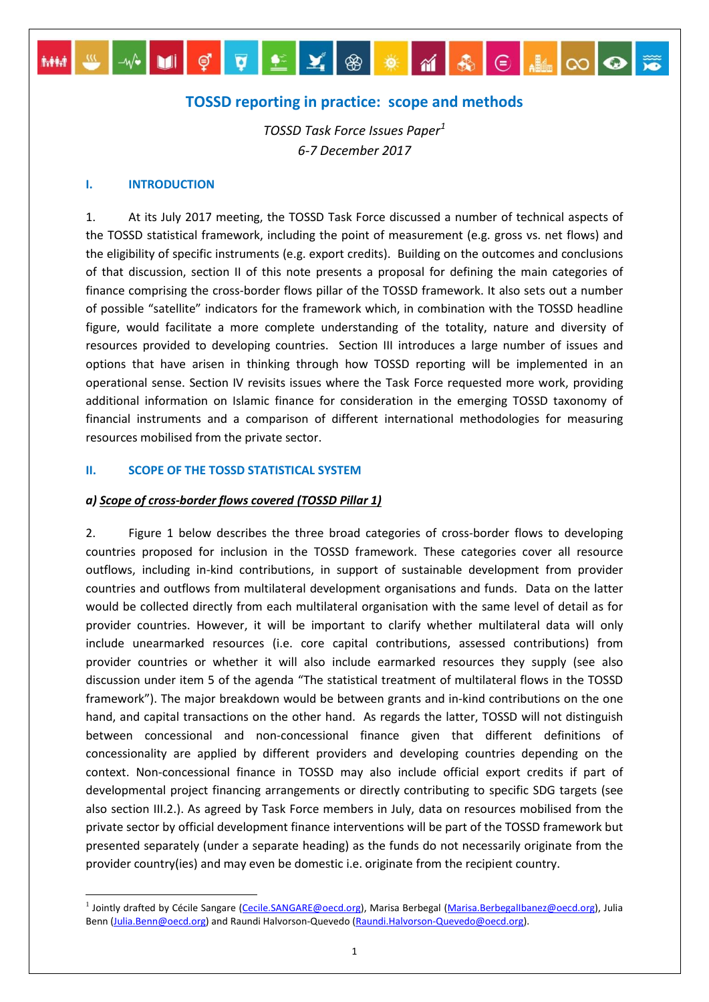# **TOSSD reporting in practice: scope and methods**

MM SANICTIEX 8 18 18 8 8 8 8 8 9 8

*TOSSD Task Force Issues Paper<sup>1</sup> 6-7 December 2017*

#### **I. INTRODUCTION**

1. At its July 2017 meeting, the TOSSD Task Force discussed a number of technical aspects of the TOSSD statistical framework, including the point of measurement (e.g. gross vs. net flows) and the eligibility of specific instruments (e.g. export credits). Building on the outcomes and conclusions of that discussion, section II of this note presents a proposal for defining the main categories of finance comprising the cross-border flows pillar of the TOSSD framework. It also sets out a number of possible "satellite" indicators for the framework which, in combination with the TOSSD headline figure, would facilitate a more complete understanding of the totality, nature and diversity of resources provided to developing countries. Section III introduces a large number of issues and options that have arisen in thinking through how TOSSD reporting will be implemented in an operational sense. Section IV revisits issues where the Task Force requested more work, providing additional information on Islamic finance for consideration in the emerging TOSSD taxonomy of financial instruments and a comparison of different international methodologies for measuring resources mobilised from the private sector.

#### **II. SCOPE OF THE TOSSD STATISTICAL SYSTEM**

#### *a) Scope of cross-border flows covered (TOSSD Pillar 1)*

2. Figure 1 below describes the three broad categories of cross-border flows to developing countries proposed for inclusion in the TOSSD framework. These categories cover all resource outflows, including in-kind contributions, in support of sustainable development from provider countries and outflows from multilateral development organisations and funds. Data on the latter would be collected directly from each multilateral organisation with the same level of detail as for provider countries. However, it will be important to clarify whether multilateral data will only include unearmarked resources (i.e. core capital contributions, assessed contributions) from provider countries or whether it will also include earmarked resources they supply (see also discussion under item 5 of the agenda "The statistical treatment of multilateral flows in the TOSSD framework"). The major breakdown would be between grants and in-kind contributions on the one hand, and capital transactions on the other hand. As regards the latter, TOSSD will not distinguish between concessional and non-concessional finance given that different definitions of concessionality are applied by different providers and developing countries depending on the context. Non-concessional finance in TOSSD may also include official export credits if part of developmental project financing arrangements or directly contributing to specific SDG targets (see also section III.2.). As agreed by Task Force members in July, data on resources mobilised from the private sector by official development finance interventions will be part of the TOSSD framework but presented separately (under a separate heading) as the funds do not necessarily originate from the provider country(ies) and may even be domestic i.e. originate from the recipient country.

<sup>&</sup>lt;u>nda</u><br><sup>1</sup> Jointly drafted by Cécile Sangare (<u>Cecile.SANGARE@oecd.org</u>), Marisa Berbegal (<u>Marisa.BerbegalIbanez@oecd.org</u>), Julia Benn [\(Julia.Benn@oecd.org\)](mailto:Julia.Benn@oecd.org) and Raundi Halvorson-Quevedo [\(Raundi.Halvorson-Quevedo@oecd.org\)](mailto:Raundi.Halvorson-Quevedo@oecd.org).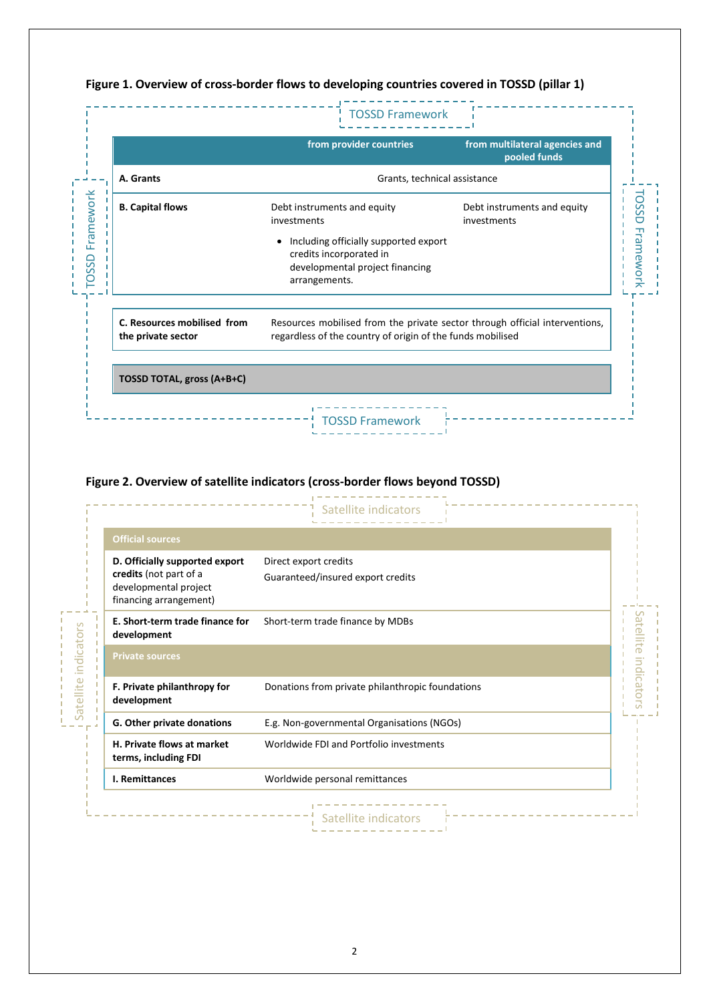|                                                   | <b>TOSSD Framework</b>                                                                                                                    |                                                |
|---------------------------------------------------|-------------------------------------------------------------------------------------------------------------------------------------------|------------------------------------------------|
|                                                   | from provider countries                                                                                                                   | from multilateral agencies and<br>pooled funds |
| A. Grants                                         | Grants, technical assistance                                                                                                              |                                                |
| <b>B. Capital flows</b>                           | Debt instruments and equity<br>investments                                                                                                | Debt instruments and equity<br>investments     |
|                                                   | Including officially supported export<br>٠<br>credits incorporated in<br>developmental project financing<br>arrangements.                 |                                                |
| C. Resources mobilised from<br>the private sector | Resources mobilised from the private sector through official interventions,<br>regardless of the country of origin of the funds mobilised |                                                |
| TOSSD TOTAL, gross (A+B+C)                        |                                                                                                                                           |                                                |

# **Figure 1. Overview of cross-border flows to developing countries covered in TOSSD (pillar 1)**

# **Figure 2. Overview of satellite indicators (cross-border flows beyond TOSSD)**

| <b>Official sources</b>                                                                                     |                                                            |  |
|-------------------------------------------------------------------------------------------------------------|------------------------------------------------------------|--|
| D. Officially supported export<br>credits (not part of a<br>developmental project<br>financing arrangement) | Direct export credits<br>Guaranteed/insured export credits |  |
| E. Short-term trade finance for<br>development                                                              | Short-term trade finance by MDBs                           |  |
| <b>Private sources</b>                                                                                      |                                                            |  |
| F. Private philanthropy for<br>development                                                                  | Donations from private philanthropic foundations           |  |
| G. Other private donations                                                                                  | E.g. Non-governmental Organisations (NGOs)                 |  |
| H. Private flows at market<br>terms, including FDI                                                          | Worldwide FDI and Portfolio investments                    |  |
| I. Remittances                                                                                              | Worldwide personal remittances                             |  |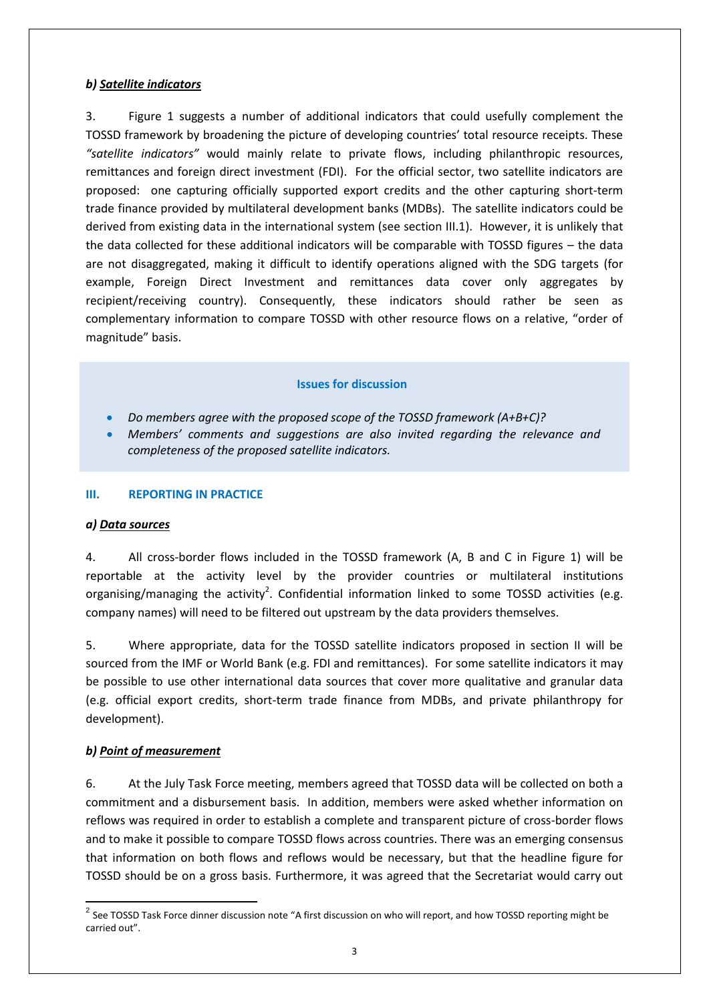# *b) Satellite indicators*

3. Figure 1 suggests a number of additional indicators that could usefully complement the TOSSD framework by broadening the picture of developing countries' total resource receipts. These *"satellite indicators"* would mainly relate to private flows, including philanthropic resources, remittances and foreign direct investment (FDI). For the official sector, two satellite indicators are proposed: one capturing officially supported export credits and the other capturing short-term trade finance provided by multilateral development banks (MDBs). The satellite indicators could be derived from existing data in the international system (see section III.1). However, it is unlikely that the data collected for these additional indicators will be comparable with TOSSD figures – the data are not disaggregated, making it difficult to identify operations aligned with the SDG targets (for example, Foreign Direct Investment and remittances data cover only aggregates by recipient/receiving country). Consequently, these indicators should rather be seen as complementary information to compare TOSSD with other resource flows on a relative, "order of magnitude" basis.

# **Issues for discussion**

- *Do members agree with the proposed scope of the TOSSD framework (A+B+C)?*
- *Members' comments and suggestions are also invited regarding the relevance and completeness of the proposed satellite indicators.*

#### **III. REPORTING IN PRACTICE**

#### *a) Data sources*

4. All cross-border flows included in the TOSSD framework (A, B and C in Figure 1) will be reportable at the activity level by the provider countries or multilateral institutions organising/managing the activity<sup>2</sup>. Confidential information linked to some TOSSD activities (e.g. company names) will need to be filtered out upstream by the data providers themselves.

5. Where appropriate, data for the TOSSD satellite indicators proposed in section II will be sourced from the IMF or World Bank (e.g. FDI and remittances). For some satellite indicators it may be possible to use other international data sources that cover more qualitative and granular data (e.g. official export credits, short-term trade finance from MDBs, and private philanthropy for development).

#### *b) Point of measurement*

6. At the July Task Force meeting, members agreed that TOSSD data will be collected on both a commitment and a disbursement basis. In addition, members were asked whether information on reflows was required in order to establish a complete and transparent picture of cross-border flows and to make it possible to compare TOSSD flows across countries. There was an emerging consensus that information on both flows and reflows would be necessary, but that the headline figure for TOSSD should be on a gross basis. Furthermore, it was agreed that the Secretariat would carry out

 2 See TOSSD Task Force dinner discussion note "A first discussion on who will report, and how TOSSD reporting might be carried out".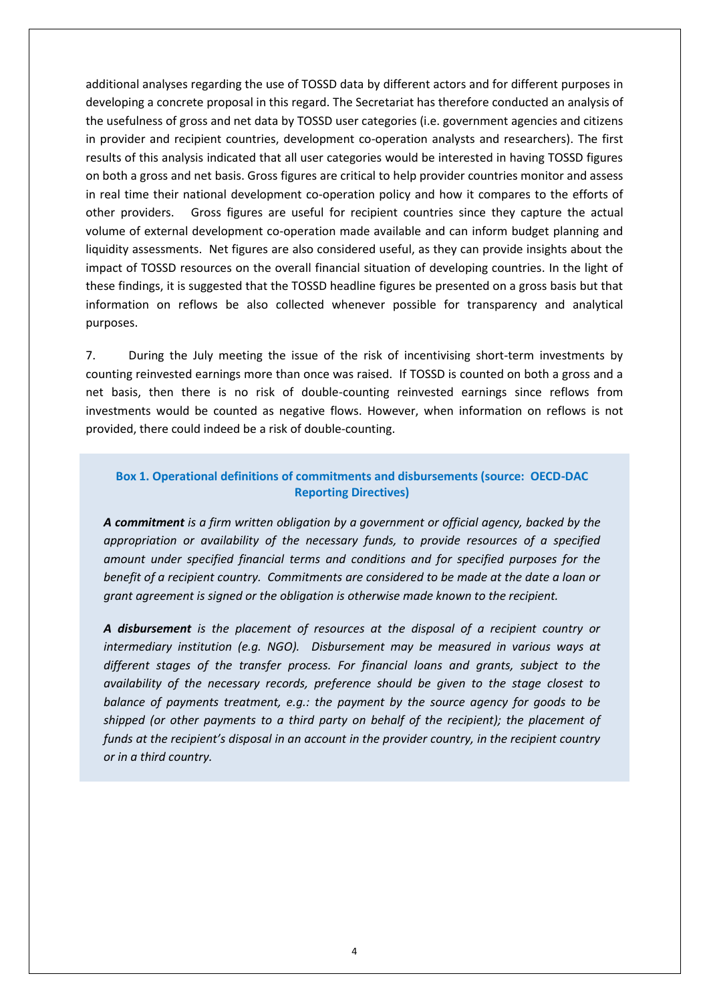additional analyses regarding the use of TOSSD data by different actors and for different purposes in developing a concrete proposal in this regard. The Secretariat has therefore conducted an analysis of the usefulness of gross and net data by TOSSD user categories (i.e. government agencies and citizens in provider and recipient countries, development co-operation analysts and researchers). The first results of this analysis indicated that all user categories would be interested in having TOSSD figures on both a gross and net basis. Gross figures are critical to help provider countries monitor and assess in real time their national development co-operation policy and how it compares to the efforts of other providers. Gross figures are useful for recipient countries since they capture the actual volume of external development co-operation made available and can inform budget planning and liquidity assessments. Net figures are also considered useful, as they can provide insights about the impact of TOSSD resources on the overall financial situation of developing countries. In the light of these findings, it is suggested that the TOSSD headline figures be presented on a gross basis but that information on reflows be also collected whenever possible for transparency and analytical purposes.

7. During the July meeting the issue of the risk of incentivising short-term investments by counting reinvested earnings more than once was raised. If TOSSD is counted on both a gross and a net basis, then there is no risk of double-counting reinvested earnings since reflows from investments would be counted as negative flows. However, when information on reflows is not provided, there could indeed be a risk of double-counting.

# **Box 1. Operational definitions of commitments and disbursements (source: OECD-DAC Reporting Directives)**

*A commitment is a firm written obligation by a government or official agency, backed by the appropriation or availability of the necessary funds, to provide resources of a specified amount under specified financial terms and conditions and for specified purposes for the benefit of a recipient country. Commitments are considered to be made at the date a loan or grant agreement is signed or the obligation is otherwise made known to the recipient.* 

*A disbursement is the placement of resources at the disposal of a recipient country or intermediary institution (e.g. NGO). Disbursement may be measured in various ways at different stages of the transfer process. For financial loans and grants, subject to the availability of the necessary records, preference should be given to the stage closest to balance of payments treatment, e.g.: the payment by the source agency for goods to be shipped (or other payments to a third party on behalf of the recipient); the placement of funds at the recipient's disposal in an account in the provider country, in the recipient country or in a third country.*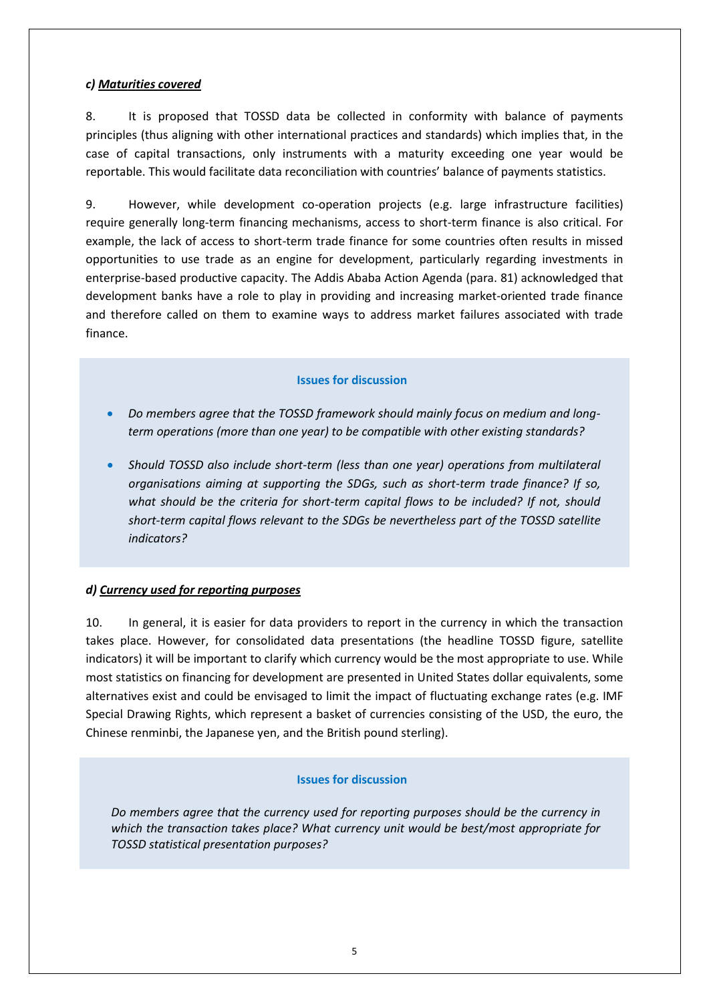# *c) Maturities covered*

8. It is proposed that TOSSD data be collected in conformity with balance of payments principles (thus aligning with other international practices and standards) which implies that, in the case of capital transactions, only instruments with a maturity exceeding one year would be reportable. This would facilitate data reconciliation with countries' balance of payments statistics.

9. However, while development co-operation projects (e.g. large infrastructure facilities) require generally long-term financing mechanisms, access to short-term finance is also critical. For example, the lack of access to short-term trade finance for some countries often results in missed opportunities to use trade as an engine for development, particularly regarding investments in enterprise-based productive capacity. The Addis Ababa Action Agenda (para. 81) acknowledged that development banks have a role to play in providing and increasing market-oriented trade finance and therefore called on them to examine ways to address market failures associated with trade finance.

## **Issues for discussion**

- *Do members agree that the TOSSD framework should mainly focus on medium and longterm operations (more than one year) to be compatible with other existing standards?*
- *Should TOSSD also include short-term (less than one year) operations from multilateral organisations aiming at supporting the SDGs, such as short-term trade finance? If so, what should be the criteria for short-term capital flows to be included? If not, should short-term capital flows relevant to the SDGs be nevertheless part of the TOSSD satellite indicators?*

# *d) Currency used for reporting purposes*

10. In general, it is easier for data providers to report in the currency in which the transaction takes place. However, for consolidated data presentations (the headline TOSSD figure, satellite indicators) it will be important to clarify which currency would be the most appropriate to use. While most statistics on financing for development are presented in United States dollar equivalents, some alternatives exist and could be envisaged to limit the impact of fluctuating exchange rates (e.g. IMF Special Drawing Rights, which represent a basket of currencies consisting of the USD, the euro, the Chinese renminbi, the Japanese yen, and the British pound sterling).

#### **Issues for discussion**

*Do members agree that the currency used for reporting purposes should be the currency in which the transaction takes place? What currency unit would be best/most appropriate for TOSSD statistical presentation purposes?*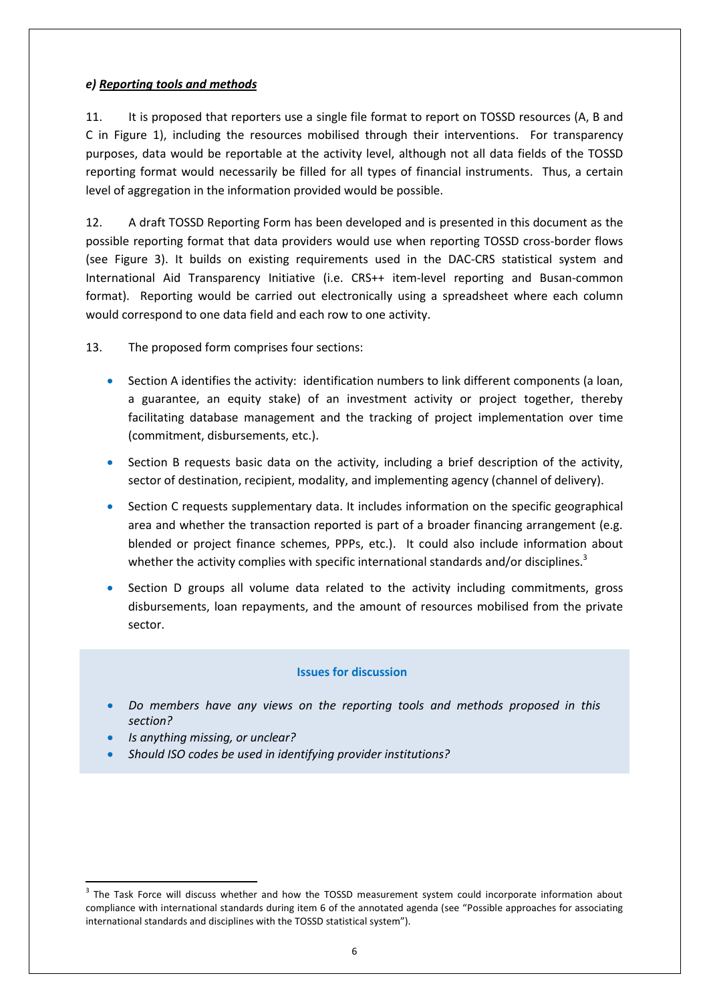## *e) Reporting tools and methods*

11. It is proposed that reporters use a single file format to report on TOSSD resources (A, B and C in Figure 1), including the resources mobilised through their interventions. For transparency purposes, data would be reportable at the activity level, although not all data fields of the TOSSD reporting format would necessarily be filled for all types of financial instruments. Thus, a certain level of aggregation in the information provided would be possible.

12. A draft TOSSD Reporting Form has been developed and is presented in this document as the possible reporting format that data providers would use when reporting TOSSD cross-border flows (see Figure 3). It builds on existing requirements used in the DAC-CRS statistical system and International Aid Transparency Initiative (i.e. CRS++ item-level reporting and Busan-common format). Reporting would be carried out electronically using a spreadsheet where each column would correspond to one data field and each row to one activity.

13. The proposed form comprises four sections:

- Section A identifies the activity: identification numbers to link different components (a loan, a guarantee, an equity stake) of an investment activity or project together, thereby facilitating database management and the tracking of project implementation over time (commitment, disbursements, etc.).
- Section B requests basic data on the activity, including a brief description of the activity, sector of destination, recipient, modality, and implementing agency (channel of delivery).
- Section C requests supplementary data. It includes information on the specific geographical area and whether the transaction reported is part of a broader financing arrangement (e.g. blended or project finance schemes, PPPs, etc.). It could also include information about whether the activity complies with specific international standards and/or disciplines.<sup>3</sup>
- Section D groups all volume data related to the activity including commitments, gross disbursements, loan repayments, and the amount of resources mobilised from the private sector.

#### **Issues for discussion**

- *Do members have any views on the reporting tools and methods proposed in this section?*
- *Is anything missing, or unclear?*

1

*Should ISO codes be used in identifying provider institutions?*

<sup>&</sup>lt;sup>3</sup> The Task Force will discuss whether and how the TOSSD measurement system could incorporate information about compliance with international standards during item 6 of the annotated agenda (see "Possible approaches for associating international standards and disciplines with the TOSSD statistical system").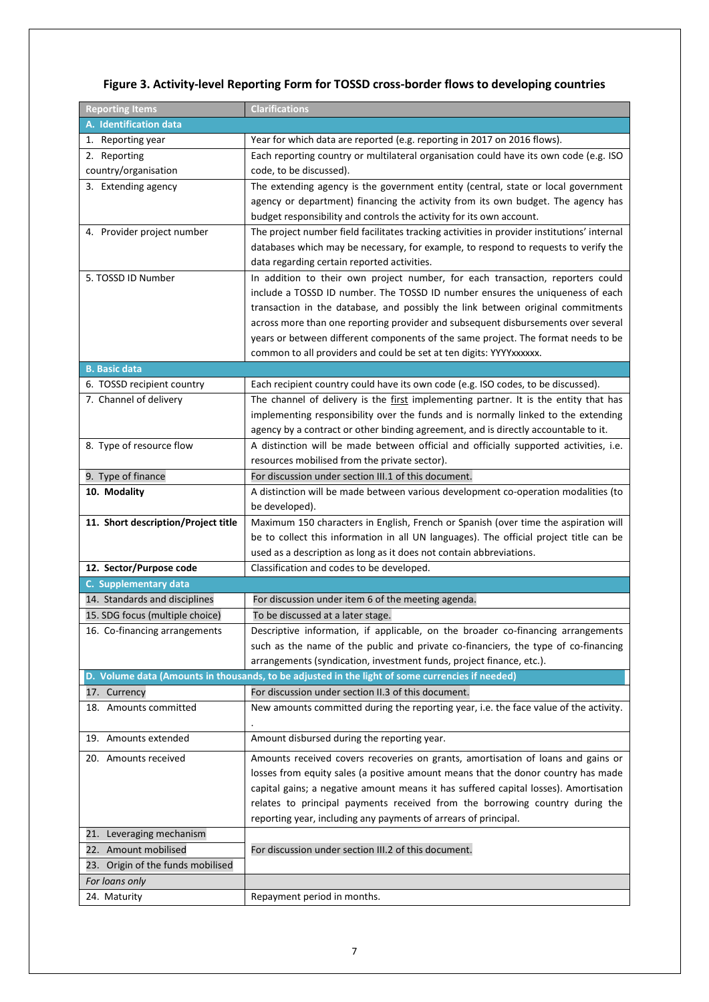# **Figure 3. Activity-level Reporting Form for TOSSD cross-border flows to developing countries**

| <b>Reporting Items</b>                                 | <b>Clarifications</b>                                                                                                                                      |  |  |  |
|--------------------------------------------------------|------------------------------------------------------------------------------------------------------------------------------------------------------------|--|--|--|
| A. Identification data                                 |                                                                                                                                                            |  |  |  |
| 1. Reporting year                                      | Year for which data are reported (e.g. reporting in 2017 on 2016 flows).                                                                                   |  |  |  |
| 2. Reporting                                           | Each reporting country or multilateral organisation could have its own code (e.g. ISO                                                                      |  |  |  |
| country/organisation                                   | code, to be discussed).                                                                                                                                    |  |  |  |
| 3. Extending agency                                    | The extending agency is the government entity (central, state or local government                                                                          |  |  |  |
|                                                        | agency or department) financing the activity from its own budget. The agency has                                                                           |  |  |  |
|                                                        | budget responsibility and controls the activity for its own account.                                                                                       |  |  |  |
| 4. Provider project number                             | The project number field facilitates tracking activities in provider institutions' internal                                                                |  |  |  |
|                                                        | databases which may be necessary, for example, to respond to requests to verify the                                                                        |  |  |  |
|                                                        | data regarding certain reported activities.                                                                                                                |  |  |  |
| 5. TOSSD ID Number                                     | In addition to their own project number, for each transaction, reporters could                                                                             |  |  |  |
|                                                        | include a TOSSD ID number. The TOSSD ID number ensures the uniqueness of each                                                                              |  |  |  |
|                                                        | transaction in the database, and possibly the link between original commitments                                                                            |  |  |  |
|                                                        | across more than one reporting provider and subsequent disbursements over several                                                                          |  |  |  |
|                                                        | years or between different components of the same project. The format needs to be                                                                          |  |  |  |
|                                                        | common to all providers and could be set at ten digits: YYYYxxxxxx.                                                                                        |  |  |  |
| <b>B. Basic data</b>                                   |                                                                                                                                                            |  |  |  |
| 6. TOSSD recipient country                             | Each recipient country could have its own code (e.g. ISO codes, to be discussed).                                                                          |  |  |  |
| 7. Channel of delivery                                 | The channel of delivery is the first implementing partner. It is the entity that has                                                                       |  |  |  |
|                                                        | implementing responsibility over the funds and is normally linked to the extending                                                                         |  |  |  |
|                                                        | agency by a contract or other binding agreement, and is directly accountable to it.                                                                        |  |  |  |
| 8. Type of resource flow                               | A distinction will be made between official and officially supported activities, i.e.                                                                      |  |  |  |
|                                                        | resources mobilised from the private sector).                                                                                                              |  |  |  |
| 9. Type of finance                                     | For discussion under section III.1 of this document.                                                                                                       |  |  |  |
| 10. Modality                                           | A distinction will be made between various development co-operation modalities (to                                                                         |  |  |  |
|                                                        | be developed).                                                                                                                                             |  |  |  |
| 11. Short description/Project title                    | Maximum 150 characters in English, French or Spanish (over time the aspiration will                                                                        |  |  |  |
|                                                        | be to collect this information in all UN languages). The official project title can be                                                                     |  |  |  |
|                                                        | used as a description as long as it does not contain abbreviations.<br>Classification and codes to be developed.                                           |  |  |  |
| 12. Sector/Purpose code                                |                                                                                                                                                            |  |  |  |
| C. Supplementary data<br>14. Standards and disciplines | For discussion under item 6 of the meeting agenda.                                                                                                         |  |  |  |
|                                                        | To be discussed at a later stage.                                                                                                                          |  |  |  |
| 15. SDG focus (multiple choice)                        |                                                                                                                                                            |  |  |  |
| 16. Co-financing arrangements                          | Descriptive information, if applicable, on the broader co-financing arrangements                                                                           |  |  |  |
|                                                        | such as the name of the public and private co-financiers, the type of co-financing<br>arrangements (syndication, investment funds, project finance, etc.). |  |  |  |
|                                                        | D. Volume data (Amounts in thousands, to be adjusted in the light of some currencies if needed)                                                            |  |  |  |
| 17. Currency                                           | For discussion under section II.3 of this document.                                                                                                        |  |  |  |
| 18. Amounts committed                                  | New amounts committed during the reporting year, i.e. the face value of the activity.                                                                      |  |  |  |
|                                                        |                                                                                                                                                            |  |  |  |
| 19. Amounts extended                                   | Amount disbursed during the reporting year.                                                                                                                |  |  |  |
|                                                        |                                                                                                                                                            |  |  |  |
| 20. Amounts received                                   | Amounts received covers recoveries on grants, amortisation of loans and gains or                                                                           |  |  |  |
|                                                        | losses from equity sales (a positive amount means that the donor country has made                                                                          |  |  |  |
|                                                        | capital gains; a negative amount means it has suffered capital losses). Amortisation                                                                       |  |  |  |
|                                                        | relates to principal payments received from the borrowing country during the                                                                               |  |  |  |
|                                                        | reporting year, including any payments of arrears of principal.                                                                                            |  |  |  |
| 21. Leveraging mechanism                               |                                                                                                                                                            |  |  |  |
| 22. Amount mobilised                                   | For discussion under section III.2 of this document.                                                                                                       |  |  |  |
| 23. Origin of the funds mobilised                      |                                                                                                                                                            |  |  |  |
| For loans only                                         |                                                                                                                                                            |  |  |  |
| 24. Maturity                                           | Repayment period in months.                                                                                                                                |  |  |  |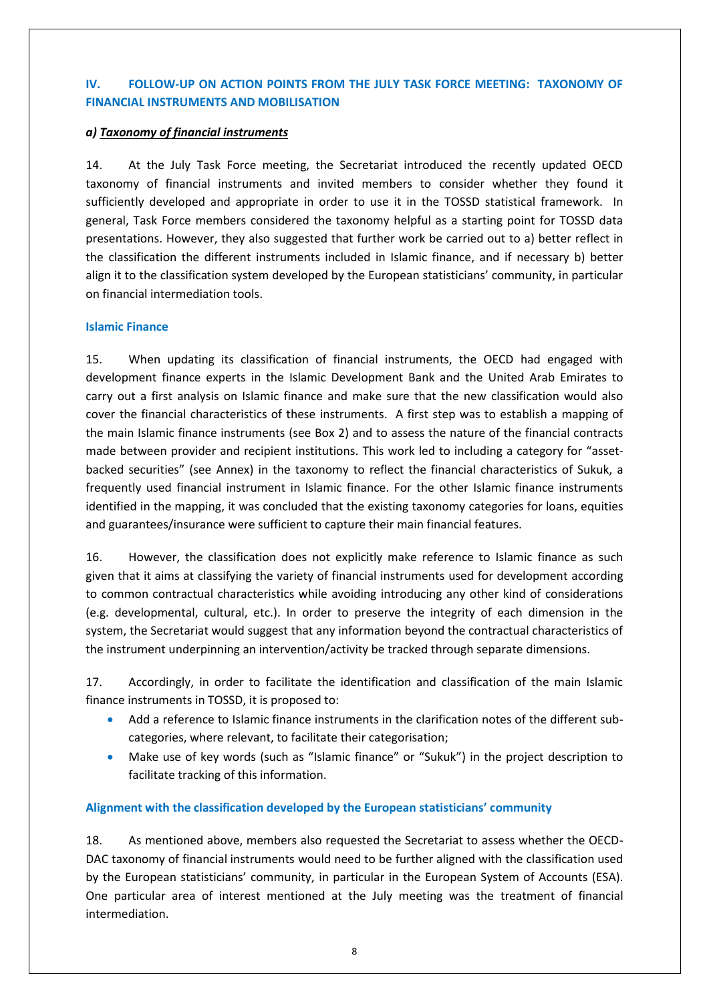# **IV. FOLLOW-UP ON ACTION POINTS FROM THE JULY TASK FORCE MEETING: TAXONOMY OF FINANCIAL INSTRUMENTS AND MOBILISATION**

## *a) Taxonomy of financial instruments*

14. At the July Task Force meeting, the Secretariat introduced the recently updated OECD taxonomy of financial instruments and invited members to consider whether they found it sufficiently developed and appropriate in order to use it in the TOSSD statistical framework. In general, Task Force members considered the taxonomy helpful as a starting point for TOSSD data presentations. However, they also suggested that further work be carried out to a) better reflect in the classification the different instruments included in Islamic finance, and if necessary b) better align it to the classification system developed by the European statisticians' community, in particular on financial intermediation tools.

## **Islamic Finance**

15. When updating its classification of financial instruments, the OECD had engaged with development finance experts in the Islamic Development Bank and the United Arab Emirates to carry out a first analysis on Islamic finance and make sure that the new classification would also cover the financial characteristics of these instruments. A first step was to establish a mapping of the main Islamic finance instruments (see Box 2) and to assess the nature of the financial contracts made between provider and recipient institutions. This work led to including a category for "assetbacked securities" (see Annex) in the taxonomy to reflect the financial characteristics of Sukuk, a frequently used financial instrument in Islamic finance. For the other Islamic finance instruments identified in the mapping, it was concluded that the existing taxonomy categories for loans, equities and guarantees/insurance were sufficient to capture their main financial features.

16. However, the classification does not explicitly make reference to Islamic finance as such given that it aims at classifying the variety of financial instruments used for development according to common contractual characteristics while avoiding introducing any other kind of considerations (e.g. developmental, cultural, etc.). In order to preserve the integrity of each dimension in the system, the Secretariat would suggest that any information beyond the contractual characteristics of the instrument underpinning an intervention/activity be tracked through separate dimensions.

17. Accordingly, in order to facilitate the identification and classification of the main Islamic finance instruments in TOSSD, it is proposed to:

- Add a reference to Islamic finance instruments in the clarification notes of the different subcategories, where relevant, to facilitate their categorisation;
- Make use of key words (such as "Islamic finance" or "Sukuk") in the project description to facilitate tracking of this information.

# **Alignment with the classification developed by the European statisticians' community**

18. As mentioned above, members also requested the Secretariat to assess whether the OECD-DAC taxonomy of financial instruments would need to be further aligned with the classification used by the European statisticians' community, in particular in the European System of Accounts (ESA). One particular area of interest mentioned at the July meeting was the treatment of financial intermediation.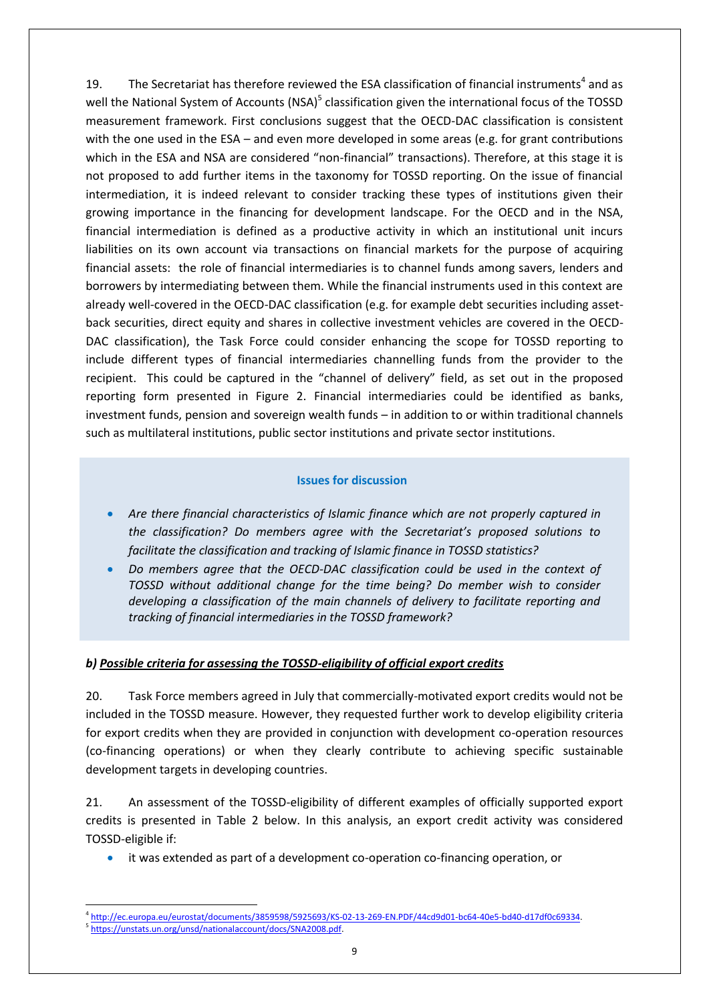19. The Secretariat has therefore reviewed the ESA classification of financial instruments<sup>4</sup> and as well the National System of Accounts (NSA)<sup>5</sup> classification given the international focus of the TOSSD measurement framework. First conclusions suggest that the OECD-DAC classification is consistent with the one used in the ESA – and even more developed in some areas (e.g. for grant contributions which in the ESA and NSA are considered "non-financial" transactions). Therefore, at this stage it is not proposed to add further items in the taxonomy for TOSSD reporting. On the issue of financial intermediation, it is indeed relevant to consider tracking these types of institutions given their growing importance in the financing for development landscape. For the OECD and in the NSA, financial intermediation is defined as a productive activity in which an institutional unit incurs liabilities on its own account via transactions on financial markets for the purpose of acquiring financial assets: the role of financial intermediaries is to channel funds among savers, lenders and borrowers by intermediating between them. While the financial instruments used in this context are already well-covered in the OECD-DAC classification (e.g. for example debt securities including assetback securities, direct equity and shares in collective investment vehicles are covered in the OECD-DAC classification), the Task Force could consider enhancing the scope for TOSSD reporting to include different types of financial intermediaries channelling funds from the provider to the recipient. This could be captured in the "channel of delivery" field, as set out in the proposed reporting form presented in Figure 2. Financial intermediaries could be identified as banks, investment funds, pension and sovereign wealth funds – in addition to or within traditional channels such as multilateral institutions, public sector institutions and private sector institutions.

## **Issues for discussion**

- *Are there financial characteristics of Islamic finance which are not properly captured in the classification? Do members agree with the Secretariat's proposed solutions to facilitate the classification and tracking of Islamic finance in TOSSD statistics?*
- *Do members agree that the OECD-DAC classification could be used in the context of TOSSD without additional change for the time being? Do member wish to consider developing a classification of the main channels of delivery to facilitate reporting and tracking of financial intermediaries in the TOSSD framework?*

# *b) Possible criteria for assessing the TOSSD-eligibility of official export credits*

20. Task Force members agreed in July that commercially-motivated export credits would not be included in the TOSSD measure. However, they requested further work to develop eligibility criteria for export credits when they are provided in conjunction with development co-operation resources (co-financing operations) or when they clearly contribute to achieving specific sustainable development targets in developing countries.

21. An assessment of the TOSSD-eligibility of different examples of officially supported export credits is presented in Table 2 below. In this analysis, an export credit activity was considered TOSSD-eligible if:

it was extended as part of a development co-operation co-financing operation, or

<sup>1</sup> 4 [http://ec.europa.eu/eurostat/documents/3859598/5925693/KS-02-13-269-EN.PDF/44cd9d01-bc64-40e5-bd40-d17df0c69334.](http://ec.europa.eu/eurostat/documents/3859598/5925693/KS-02-13-269-EN.PDF/44cd9d01-bc64-40e5-bd40-d17df0c69334) 5 [https://unstats.un.org/unsd/nationalaccount/docs/SNA2008.pdf.](https://unstats.un.org/unsd/nationalaccount/docs/SNA2008.pdf)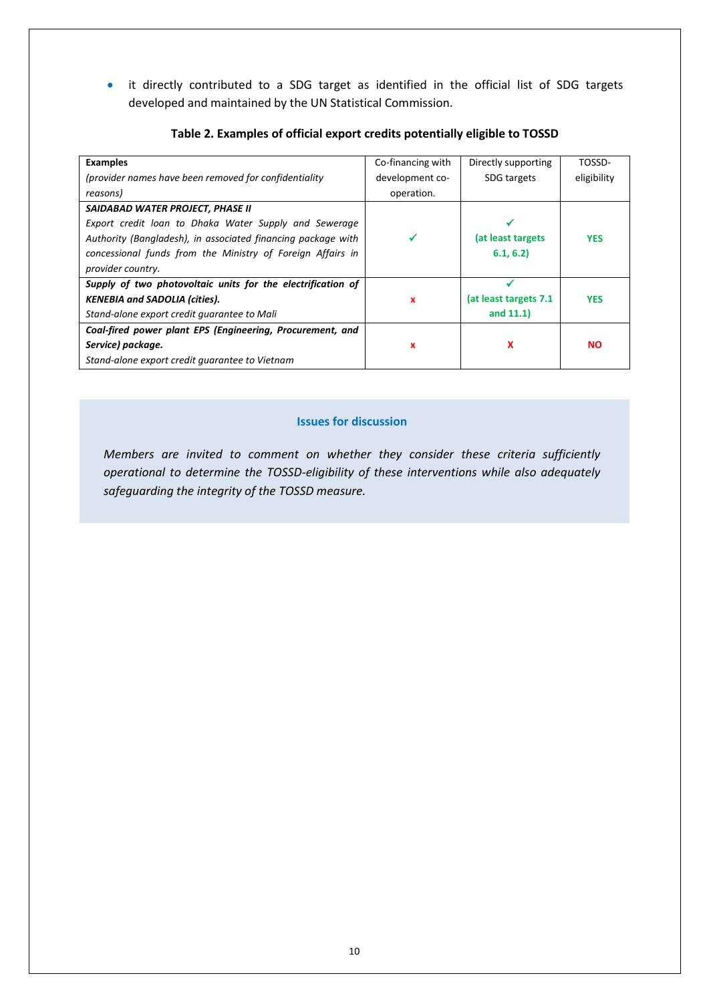• it directly contributed to a SDG target as identified in the official list of SDG targets developed and maintained by the UN Statistical Commission.

| <b>Examples</b>                                              | Co-financing with | Directly supporting    | TOSSD-      |
|--------------------------------------------------------------|-------------------|------------------------|-------------|
| (provider names have been removed for confidentiality        | development co-   | SDG targets            | eligibility |
| reasons)                                                     | operation.        |                        |             |
| SAIDABAD WATER PROJECT, PHASE II                             |                   |                        |             |
| Export credit loan to Dhaka Water Supply and Sewerage        |                   |                        |             |
| Authority (Bangladesh), in associated financing package with |                   | (at least targets      | <b>YES</b>  |
| concessional funds from the Ministry of Foreign Affairs in   |                   | 6.1, 6.2               |             |
| provider country.                                            |                   |                        |             |
| Supply of two photovoltaic units for the electrification of  |                   |                        |             |
| <b>KENEBIA and SADOLIA (cities).</b>                         | x                 | (at least targets 7.1) | <b>YES</b>  |
| Stand-alone export credit quarantee to Mali                  |                   | and $11.1$ )           |             |
| Coal-fired power plant EPS (Engineering, Procurement, and    |                   |                        |             |
| Service) package.                                            | x                 | x                      | <b>NO</b>   |
| Stand-alone export credit quarantee to Vietnam               |                   |                        |             |

## **Table 2. Examples of official export credits potentially eligible to TOSSD**

## **Issues for discussion**

*Members are invited to comment on whether they consider these criteria sufficiently operational to determine the TOSSD-eligibility of these interventions while also adequately safeguarding the integrity of the TOSSD measure.*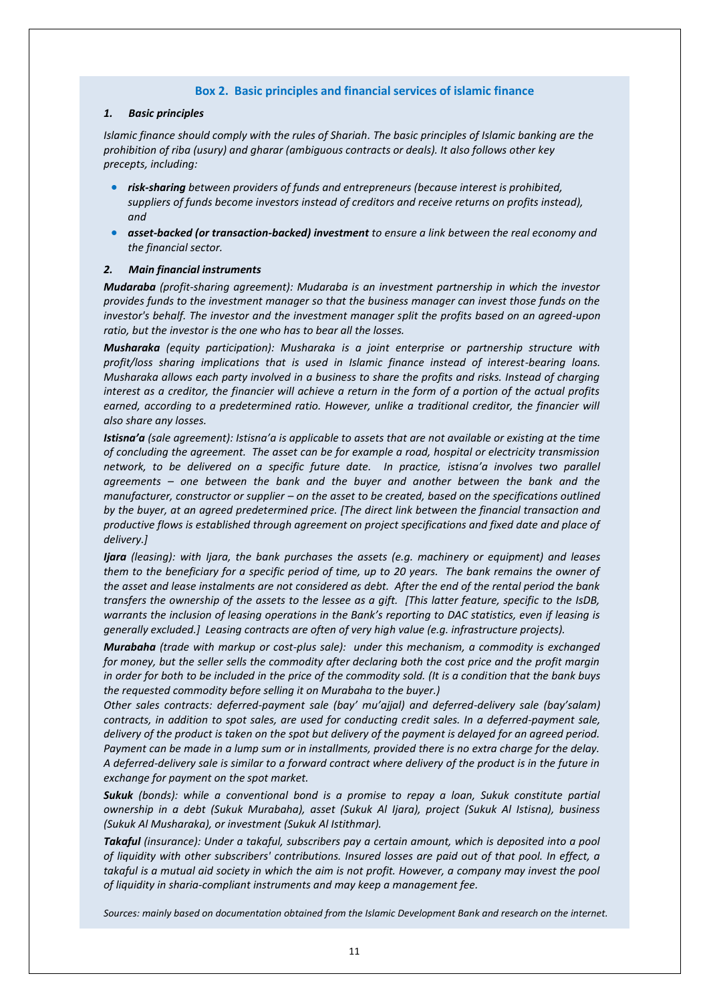#### **Box 2. Basic principles and financial services of islamic finance**

#### *1. Basic principles*

*Islamic finance should comply with the rules of Shariah. The basic principles of Islamic banking are the prohibition of riba (usury) and gharar (ambiguous contracts or deals). It also follows other key precepts, including:* 

- *risk-sharing between providers of funds and entrepreneurs (because interest is prohibited, suppliers of funds become investors instead of creditors and receive returns on profits instead), and*
- *asset-backed (or transaction-backed) investment to ensure a link between the real economy and the financial sector.*

#### *2. Main financial instruments*

*Mudaraba (profit-sharing agreement): Mudaraba is an investment partnership in which the investor provides funds to the investment manager so that the business manager can invest those funds on the investor's behalf. The investor and the investment manager split the profits based on an agreed-upon ratio, but the investor is the one who has to bear all the losses.*

*Musharaka (equity participation): Musharaka is a joint enterprise or partnership structure with profit/loss sharing implications that is used in Islamic finance instead of interest-bearing loans. Musharaka allows each party involved in a business to share the profits and risks. Instead of charging interest as a creditor, the financier will achieve a return in the form of a portion of the actual profits*  earned, according to a predetermined ratio. However, unlike a traditional creditor, the financier will *also share any losses.* 

*Istisna'a (sale agreement): Istisna'a is applicable to assets that are not available or existing at the time of concluding the agreement. The asset can be for example a road, hospital or electricity transmission network, to be delivered on a specific future date. In practice, istisna'a involves two parallel agreements – one between the bank and the buyer and another between the bank and the manufacturer, constructor or supplier – on the asset to be created, based on the specifications outlined by the buyer, at an agreed predetermined price. [The direct link between the financial transaction and productive flows is established through agreement on project specifications and fixed date and place of delivery.]*

*Ijara (leasing): with Ijara, the bank purchases the assets (e.g. machinery or equipment) and leases them to the beneficiary for a specific period of time, up to 20 years. The bank remains the owner of the asset and lease instalments are not considered as debt. After the end of the rental period the bank transfers the ownership of the assets to the lessee as a gift. [This latter feature, specific to the IsDB, warrants the inclusion of leasing operations in the Bank's reporting to DAC statistics, even if leasing is generally excluded.] Leasing contracts are often of very high value (e.g. infrastructure projects).*

*Murabaha (trade with markup or cost-plus sale): under this mechanism, a commodity is exchanged for money, but the seller sells the commodity after declaring both the cost price and the profit margin in order for both to be included in the price of the commodity sold. (It is a condition that the bank buys the requested commodity before selling it on Murabaha to the buyer.)*

*Other sales contracts: deferred-payment sale (bay' mu'ajjal) and deferred-delivery sale (bay'salam) contracts, in addition to spot sales, are used for conducting credit sales. In a deferred-payment sale, delivery of the product is taken on the spot but delivery of the payment is delayed for an agreed period. Payment can be made in a lump sum or in installments, provided there is no extra charge for the delay. A deferred-delivery sale is similar to a forward contract where delivery of the product is in the future in exchange for payment on the spot market.*

*Sukuk (bonds): while a conventional bond is a promise to repay a loan, Sukuk constitute partial ownership in a debt (Sukuk Murabaha), asset (Sukuk Al Ijara), project (Sukuk Al Istisna), business (Sukuk Al Musharaka), or investment (Sukuk Al Istithmar).*

*Takaful (insurance): Under a takaful, subscribers pay a certain amount, which is deposited into a pool of liquidity with other subscribers' contributions. Insured losses are paid out of that pool. In effect, a*  takaful is a mutual aid society in which the aim is not profit. However, a company may invest the pool *of liquidity in sharia-compliant instruments and may keep a management fee.*

*Sources: mainly based on documentation obtained from the Islamic Development Bank and research on the internet.*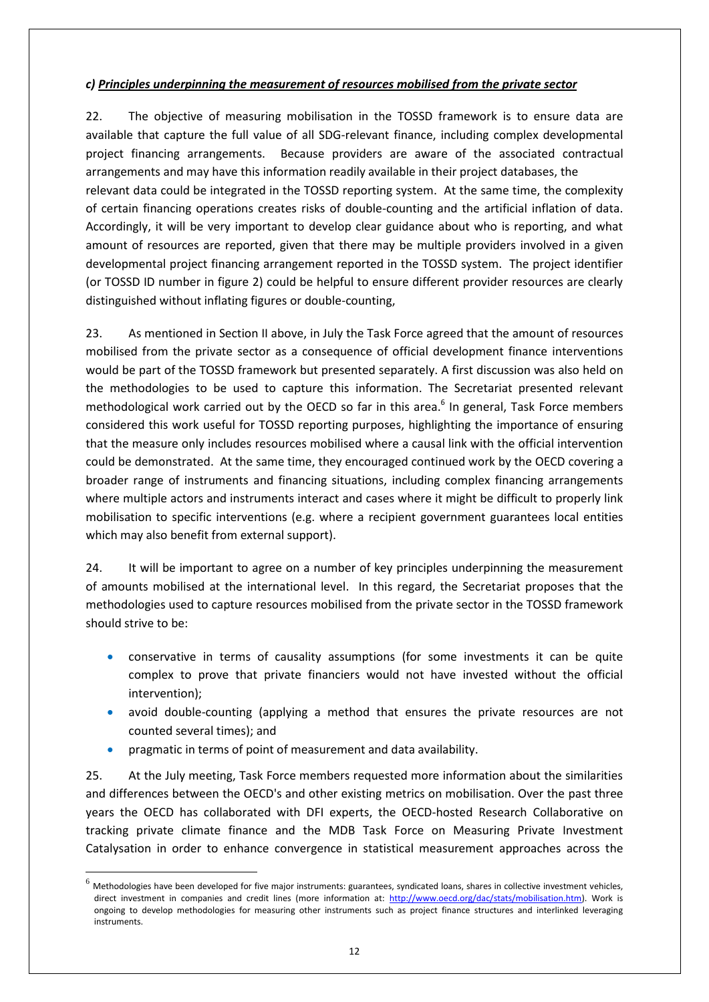# *c) Principles underpinning the measurement of resources mobilised from the private sector*

22. The objective of measuring mobilisation in the TOSSD framework is to ensure data are available that capture the full value of all SDG-relevant finance, including complex developmental project financing arrangements. Because providers are aware of the associated contractual arrangements and may have this information readily available in their project databases, the relevant data could be integrated in the TOSSD reporting system. At the same time, the complexity of certain financing operations creates risks of double-counting and the artificial inflation of data. Accordingly, it will be very important to develop clear guidance about who is reporting, and what amount of resources are reported, given that there may be multiple providers involved in a given developmental project financing arrangement reported in the TOSSD system. The project identifier (or TOSSD ID number in figure 2) could be helpful to ensure different provider resources are clearly distinguished without inflating figures or double-counting,

23. As mentioned in Section II above, in July the Task Force agreed that the amount of resources mobilised from the private sector as a consequence of official development finance interventions would be part of the TOSSD framework but presented separately. A first discussion was also held on the methodologies to be used to capture this information. The Secretariat presented relevant methodological work carried out by the OECD so far in this area.<sup>6</sup> In general, Task Force members considered this work useful for TOSSD reporting purposes, highlighting the importance of ensuring that the measure only includes resources mobilised where a causal link with the official intervention could be demonstrated. At the same time, they encouraged continued work by the OECD covering a broader range of instruments and financing situations, including complex financing arrangements where multiple actors and instruments interact and cases where it might be difficult to properly link mobilisation to specific interventions (e.g. where a recipient government guarantees local entities which may also benefit from external support).

24. It will be important to agree on a number of key principles underpinning the measurement of amounts mobilised at the international level. In this regard, the Secretariat proposes that the methodologies used to capture resources mobilised from the private sector in the TOSSD framework should strive to be:

- conservative in terms of causality assumptions (for some investments it can be quite complex to prove that private financiers would not have invested without the official intervention);
- avoid double-counting (applying a method that ensures the private resources are not counted several times); and
- pragmatic in terms of point of measurement and data availability.

1

25. At the July meeting, Task Force members requested more information about the similarities and differences between the OECD's and other existing metrics on mobilisation. Over the past three years the OECD has collaborated with DFI experts, the OECD-hosted Research Collaborative on tracking private climate finance and the MDB Task Force on Measuring Private Investment Catalysation in order to enhance convergence in statistical measurement approaches across the

<sup>6</sup> Methodologies have been developed for five major instruments: guarantees, syndicated loans, shares in collective investment vehicles, direct investment in companies and credit lines (more information at: [http://www.oecd.org/dac/stats/mobilisation.htm\)](http://www.oecd.org/dac/stats/mobilisation.htm). Work is ongoing to develop methodologies for measuring other instruments such as project finance structures and interlinked leveraging instruments.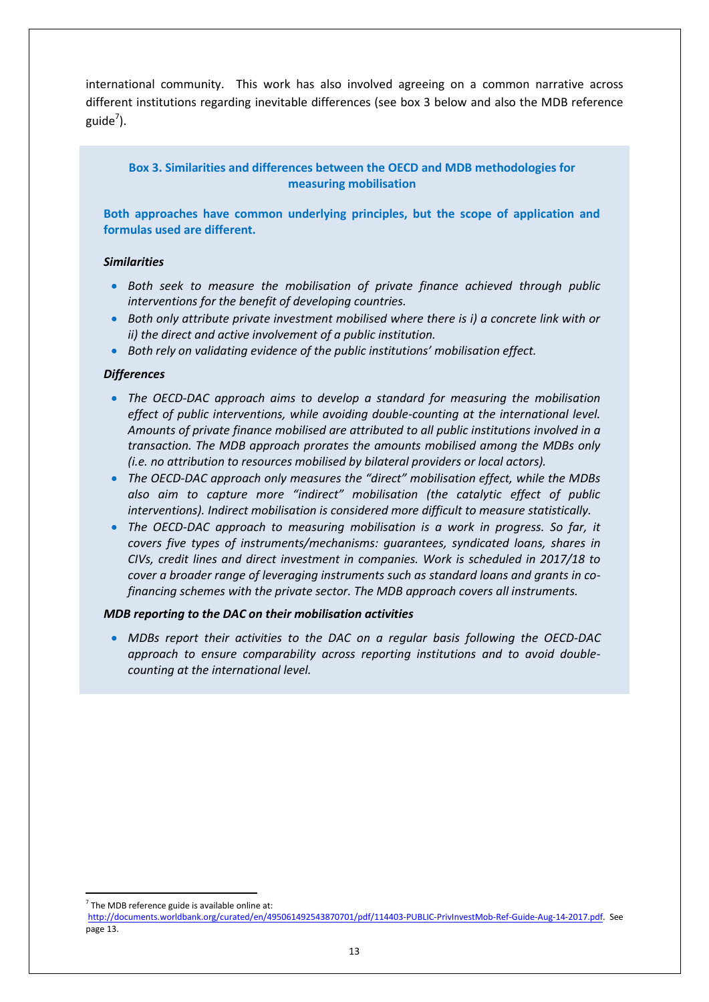international community. This work has also involved agreeing on a common narrative across different institutions regarding inevitable differences (see box 3 below and also the MDB reference guide<sup>7</sup>).

## **Box 3. Similarities and differences between the OECD and MDB methodologies for measuring mobilisation**

**Both approaches have common underlying principles, but the scope of application and formulas used are different.**

#### *Similarities*

- *Both seek to measure the mobilisation of private finance achieved through public interventions for the benefit of developing countries.*
- *Both only attribute private investment mobilised where there is i) a concrete link with or ii) the direct and active involvement of a public institution.*
- *Both rely on validating evidence of the public institutions' mobilisation effect.*

#### *Differences*

- *The OECD-DAC approach aims to develop a standard for measuring the mobilisation effect of public interventions, while avoiding double-counting at the international level. Amounts of private finance mobilised are attributed to all public institutions involved in a transaction. The MDB approach prorates the amounts mobilised among the MDBs only (i.e. no attribution to resources mobilised by bilateral providers or local actors).*
- *The OECD-DAC approach only measures the "direct" mobilisation effect, while the MDBs also aim to capture more "indirect" mobilisation (the catalytic effect of public interventions). Indirect mobilisation is considered more difficult to measure statistically.*
- The OECD-DAC approach to measuring mobilisation is a work in progress. So far, it *covers five types of instruments/mechanisms: guarantees, syndicated loans, shares in CIVs, credit lines and direct investment in companies. Work is scheduled in 2017/18 to cover a broader range of leveraging instruments such as standard loans and grants in cofinancing schemes with the private sector. The MDB approach covers all instruments.*

#### *MDB reporting to the DAC on their mobilisation activities*

 *MDBs report their activities to the DAC on a regular basis following the OECD-DAC approach to ensure comparability across reporting institutions and to avoid doublecounting at the international level.* 

**<sup>.</sup>**  $7$  The MDB reference guide is available online at:

[http://documents.worldbank.org/curated/en/495061492543870701/pdf/114403-PUBLIC-PrivInvestMob-Ref-Guide-Aug-14-2017.pdf.](http://documents.worldbank.org/curated/en/495061492543870701/pdf/114403-PUBLIC-PrivInvestMob-Ref-Guide-Aug-14-2017.pdf) See page 13.